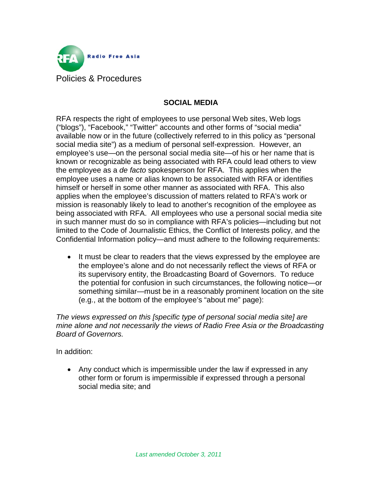

## **SOCIAL MEDIA**

RFA respects the right of employees to use personal Web sites, Web logs ("blogs"), "Facebook," "Twitter" accounts and other forms of "social media" available now or in the future (collectively referred to in this policy as "personal social media site") as a medium of personal self-expression. However, an employee's use—on the personal social media site—of his or her name that is known or recognizable as being associated with RFA could lead others to view the employee as a *de facto* spokesperson for RFA. This applies when the employee uses a name or alias known to be associated with RFA or identifies himself or herself in some other manner as associated with RFA. This also applies when the employee's discussion of matters related to RFA's work or mission is reasonably likely to lead to another's recognition of the employee as being associated with RFA. All employees who use a personal social media site in such manner must do so in compliance with RFA's policies—including but not limited to the Code of Journalistic Ethics, the Conflict of Interests policy, and the Confidential Information policy—and must adhere to the following requirements:

• It must be clear to readers that the views expressed by the employee are the employee's alone and do not necessarily reflect the views of RFA or its supervisory entity, the Broadcasting Board of Governors. To reduce the potential for confusion in such circumstances, the following notice—or something similar—must be in a reasonably prominent location on the site (e.g., at the bottom of the employee's "about me" page):

*The views expressed on this [specific type of personal social media site] are mine alone and not necessarily the views of Radio Free Asia or the Broadcasting Board of Governors.*

In addition:

• Any conduct which is impermissible under the law if expressed in any other form or forum is impermissible if expressed through a personal social media site; and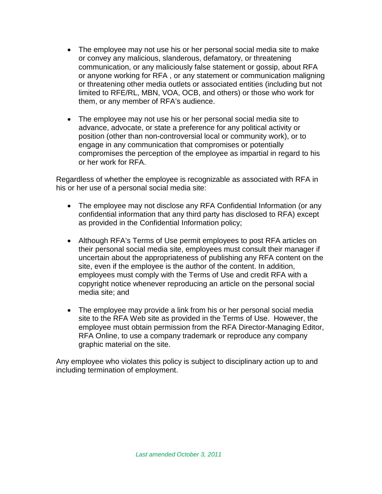- The employee may not use his or her personal social media site to make or convey any malicious, slanderous, defamatory, or threatening communication, or any maliciously false statement or gossip, about RFA or anyone working for RFA , or any statement or communication maligning or threatening other media outlets or associated entities (including but not limited to RFE/RL, MBN, VOA, OCB, and others) or those who work for them, or any member of RFA's audience.
- The employee may not use his or her personal social media site to advance, advocate, or state a preference for any political activity or position (other than non-controversial local or community work), or to engage in any communication that compromises or potentially compromises the perception of the employee as impartial in regard to his or her work for RFA.

Regardless of whether the employee is recognizable as associated with RFA in his or her use of a personal social media site:

- The employee may not disclose any RFA Confidential Information (or any confidential information that any third party has disclosed to RFA) except as provided in the Confidential Information policy;
- Although RFA's Terms of Use permit employees to post RFA articles on their personal social media site, employees must consult their manager if uncertain about the appropriateness of publishing any RFA content on the site, even if the employee is the author of the content. In addition, employees must comply with the Terms of Use and credit RFA with a copyright notice whenever reproducing an article on the personal social media site; and
- The employee may provide a link from his or her personal social media site to the RFA Web site as provided in the Terms of Use. However, the employee must obtain permission from the RFA Director-Managing Editor, RFA Online, to use a company trademark or reproduce any company graphic material on the site.

Any employee who violates this policy is subject to disciplinary action up to and including termination of employment.